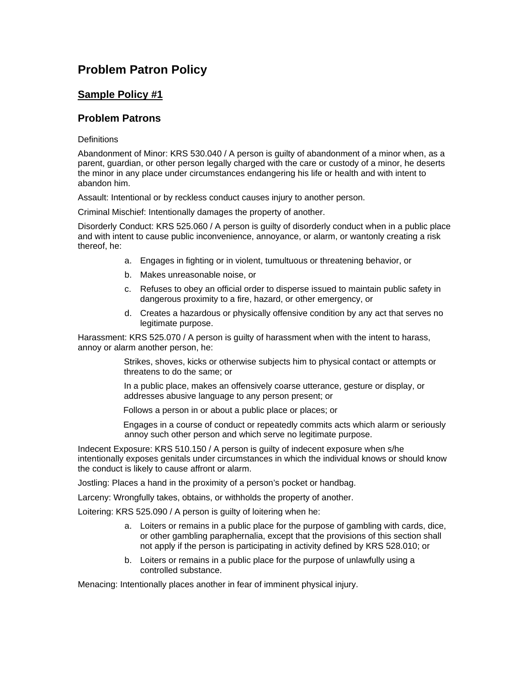## **Problem Patron Policy**

## **Sample Policy #1**

## **Problem Patrons**

#### **Definitions**

Abandonment of Minor: KRS 530.040 / A person is guilty of abandonment of a minor when, as a parent, guardian, or other person legally charged with the care or custody of a minor, he deserts the minor in any place under circumstances endangering his life or health and with intent to abandon him.

Assault: Intentional or by reckless conduct causes injury to another person.

Criminal Mischief: Intentionally damages the property of another.

Disorderly Conduct: KRS 525.060 / A person is guilty of disorderly conduct when in a public place and with intent to cause public inconvenience, annoyance, or alarm, or wantonly creating a risk thereof, he:

- a. Engages in fighting or in violent, tumultuous or threatening behavior, or
- b. Makes unreasonable noise, or
- c. Refuses to obey an official order to disperse issued to maintain public safety in dangerous proximity to a fire, hazard, or other emergency, or
- d. Creates a hazardous or physically offensive condition by any act that serves no legitimate purpose.

Harassment: KRS 525.070 / A person is guilty of harassment when with the intent to harass, annoy or alarm another person, he:

> Strikes, shoves, kicks or otherwise subjects him to physical contact or attempts or threatens to do the same; or

In a public place, makes an offensively coarse utterance, gesture or display, or addresses abusive language to any person present; or

Follows a person in or about a public place or places; or

 Engages in a course of conduct or repeatedly commits acts which alarm or seriously annoy such other person and which serve no legitimate purpose.

Indecent Exposure: KRS 510.150 / A person is guilty of indecent exposure when s/he intentionally exposes genitals under circumstances in which the individual knows or should know the conduct is likely to cause affront or alarm.

Jostling: Places a hand in the proximity of a person's pocket or handbag.

Larceny: Wrongfully takes, obtains, or withholds the property of another.

Loitering: KRS 525.090 / A person is guilty of loitering when he:

- a. Loiters or remains in a public place for the purpose of gambling with cards, dice, or other gambling paraphernalia, except that the provisions of this section shall not apply if the person is participating in activity defined by KRS 528.010; or
- b. Loiters or remains in a public place for the purpose of unlawfully using a controlled substance.

Menacing: Intentionally places another in fear of imminent physical injury.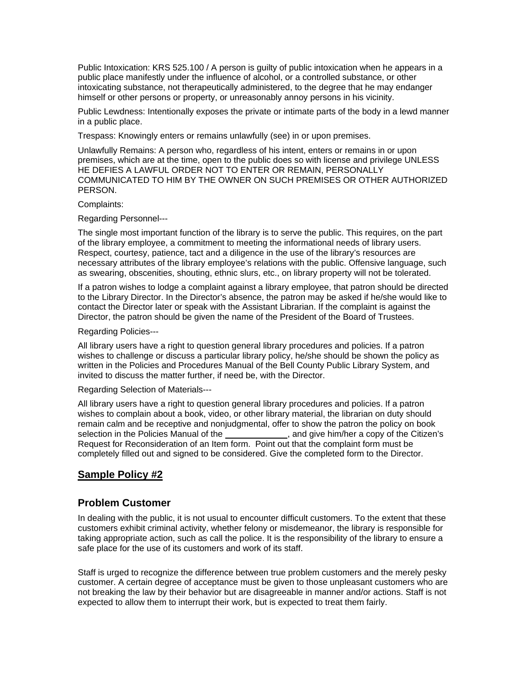Public Intoxication: KRS 525.100 / A person is guilty of public intoxication when he appears in a public place manifestly under the influence of alcohol, or a controlled substance, or other intoxicating substance, not therapeutically administered, to the degree that he may endanger himself or other persons or property, or unreasonably annoy persons in his vicinity.

Public Lewdness: Intentionally exposes the private or intimate parts of the body in a lewd manner in a public place.

Trespass: Knowingly enters or remains unlawfully (see) in or upon premises.

Unlawfully Remains: A person who, regardless of his intent, enters or remains in or upon premises, which are at the time, open to the public does so with license and privilege UNLESS HE DEFIES A LAWFUL ORDER NOT TO ENTER OR REMAIN, PERSONALLY COMMUNICATED TO HIM BY THE OWNER ON SUCH PREMISES OR OTHER AUTHORIZED PERSON.

#### Complaints:

#### Regarding Personnel---

The single most important function of the library is to serve the public. This requires, on the part of the library employee, a commitment to meeting the informational needs of library users. Respect, courtesy, patience, tact and a diligence in the use of the library's resources are necessary attributes of the library employee's relations with the public. Offensive language, such as swearing, obscenities, shouting, ethnic slurs, etc., on library property will not be tolerated.

If a patron wishes to lodge a complaint against a library employee, that patron should be directed to the Library Director. In the Director's absence, the patron may be asked if he/she would like to contact the Director later or speak with the Assistant Librarian. If the complaint is against the Director, the patron should be given the name of the President of the Board of Trustees.

#### Regarding Policies---

All library users have a right to question general library procedures and policies. If a patron wishes to challenge or discuss a particular library policy, he/she should be shown the policy as written in the Policies and Procedures Manual of the Bell County Public Library System, and invited to discuss the matter further, if need be, with the Director.

#### Regarding Selection of Materials---

All library users have a right to question general library procedures and policies. If a patron wishes to complain about a book, video, or other library material, the librarian on duty should remain calm and be receptive and nonjudgmental, offer to show the patron the policy on book<br>selection in the Policies Manual of the selection in the Citizen selection in the Tanual and give him/her a copy of the Citizen's Request for Reconsideration of an Item form. Point out that the complaint form must be completely filled out and signed to be considered. Give the completed form to the Director.

## **Sample Policy #2**

## **Problem Customer**

In dealing with the public, it is not usual to encounter difficult customers. To the extent that these customers exhibit criminal activity, whether felony or misdemeanor, the library is responsible for taking appropriate action, such as call the police. It is the responsibility of the library to ensure a safe place for the use of its customers and work of its staff.

Staff is urged to recognize the difference between true problem customers and the merely pesky customer. A certain degree of acceptance must be given to those unpleasant customers who are not breaking the law by their behavior but are disagreeable in manner and/or actions. Staff is not expected to allow them to interrupt their work, but is expected to treat them fairly.